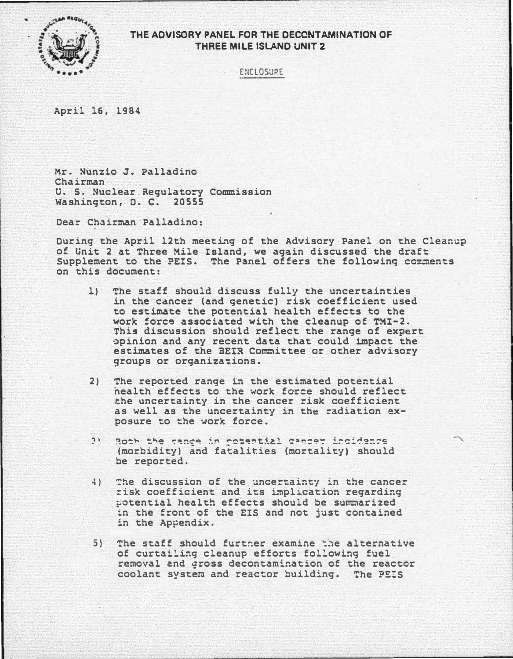

## THE ADVISORY PANEL FOR THE DECONTAMINATION OF THREE MILE ISLAND UNIT 2

E:ICLOSURE

April 16, 1984

Mr. Nunzio J. Palladino Chairman U. S. Nuclear Regulatory Commission washington, o. c. 20555

Dear Chairman Palladino:

During the April 12th meeting of the Advisory Panel on the Cleanup of Unit 2 at Three Mile Island, we again discussed the draft Supplement to the ?EIS. The Panel offers the following comments on this document:

- 1) The staff should discuss fully the uncertainties in the cancer {and genetic) risk coefficient used to estimate the potential health effects to the work force associated with the cleanup of TMI-2. This discussion should reflect the range of expert opinion and any recent data that could impact the estimates of the BEIR Committee or other advisory groups or organizations.
- 2) The reported range in the estimated potential nealth effects to the work force should reflect the uncertainty in the cancer risk coefficient as well as the uncertainty in the radiation exposure to the work force.
- ?! Both the tance in retential camper incidence (morbidity) and fatalities (mortality) should be reported.
- �) The discussion of the uncertainty in the cancer risk coefficient and its implication regarding ?Otent�al health effects should be summarized in the front of the EIS and not just contained in the Appendix.
- 5) The staff should furtner examine the alternative of curtailing cleanup efforts following fuel removal and gross decontamination of the reactor coolant system and reactor building. The ?�!S